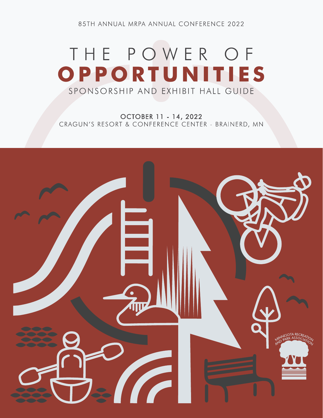85TH ANNUAL MRPA ANNUAL CONFERENCE 2022

# THE POWER OF OPPORTUNITIES SPONSORSHIP AND EXHIBIT HALL GUIDE

OCTOBER 11 - 14, 2022 CRAGUN'S RESORT & CONFERENCE CENTER - BRAINERD, MN

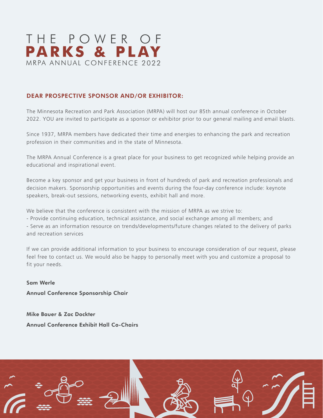

# DEAR PROSPECTIVE SPONSOR AND/OR EXHIBITOR:

The Minnesota Recreation and Park Association (MRPA) will host our 85th annual conference in October 2022. YOU are invited to participate as a sponsor or exhibitor prior to our general mailing and email blasts.

Since 1937, MRPA members have dedicated their time and energies to enhancing the park and recreation profession in their communities and in the state of Minnesota.

The MRPA Annual Conference is a great place for your business to get recognized while helping provide an educational and inspirational event.

Become a key sponsor and get your business in front of hundreds of park and recreation professionals and decision makers. Sponsorship opportunities and events during the four-day conference include: keynote speakers, break-out sessions, networking events, exhibit hall and more.

We believe that the conference is consistent with the mission of MRPA as we strive to:

- Provide continuing education, technical assistance, and social exchange among all members; and

- Serve as an information resource on trends/developments/future changes related to the delivery of parks and recreation services

If we can provide additional information to your business to encourage consideration of our request, please feel free to contact us. We would also be happy to personally meet with you and customize a proposal to fit your needs.

Sam Werle Annual Conference Sponsorship Chair

Mike Bauer & Zac Dockter Annual Conference Exhibit Hall Co-Chairs

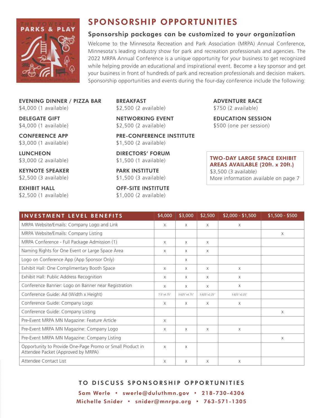

# SPONSORSHIP OPPORTUNITIES

# Sponsorship packages can be customized to your organization

Welcome to the Minnesota Recreation and Park Association (MRPA) Annual Conference, Minnesota's leading industry show for park and recreation professionals and agencies. The 2022 MRPA Annual Conference is a unique opportunity for your business to get recognized while helping provide an educational and inspirational event. Become a key sponsor and get your business in front of hundreds of park and recreation professionals and decision makers. Sponsorship opportunities and events during the four-day conference include the following:

EVENING DINNER / PIZZA BAR \$4,000 (1 available)

DELEGATE GIFT \$4,000 (1 available)

CONFERENCE APP \$3,000 (1 available)

**LUNCHEON** \$3,000 (2 available)

KEYNOTE SPEAKER \$2,500 (3 available)

EXHIBIT HALL \$2,500 (1 available) BREAKFAST \$2,500 (2 available)

NETWORKING EVENT \$2,500 (2 available)

PRE-CONFERENCE INSTITUTE \$1,500 (2 available)

DIRECTORS' FORUM \$1,500 (1 available)

PARK INSTITUTE \$1,500 (3 available)

OFF-SITE INSTITUTE \$1,000 (2 available)

ADVENTURE RACE \$750 (2 available)

EDUCATION SESSION \$500 (one per session)

TWO-DAY LARGE SPACE EXHIBIT AREAS AVAILABLE (20ft. x 20ft.) \$3,500 (3 available) More information available on page 7

| <b>INVESTMENT LEVEL BENEFITS</b>                                                                | \$4,000    | \$3,000      | \$2,500      | $$2,000 - $1,500$ | $$1,500 - $500$ |
|-------------------------------------------------------------------------------------------------|------------|--------------|--------------|-------------------|-----------------|
| MRPA Website/Emails: Company Logo and Link                                                      | X          | $\times$     | $\times$     | $\times$          |                 |
| MRPA Website/Emails: Company Listing                                                            |            |              |              |                   | X               |
| MRPA Conference - Full Package Admission (1)                                                    | X          | $\times$     | $\times$     |                   |                 |
| Naming Rights for One Event or Large Space Area                                                 | X          | $\times$     | $\times$     |                   |                 |
| Logo on Conference App (App Sponsor Only)                                                       |            | $\times$     |              |                   |                 |
| Exhibit Hall: One Complimentary Booth Space                                                     | X          | $\times$     | $\times$     | X                 |                 |
| Exhibit Hall: Public Address Recognition                                                        | X          | $\times$     | $\times$     | $\times$          |                 |
| Conference Banner: Logo on Banner near Registration                                             | X          | $\times$     | $\times$     | X                 |                 |
| Conference Guide: Ad (Width x Height)                                                           | 7.5"x4.75" | 3.625"x4.75" | 3.625"x2.25" | 3.625"x2.25"      |                 |
| Conference Guide: Company Logo                                                                  | X          | $\times$     | X            | $\times$          |                 |
| Conference Guide: Company Listing                                                               |            |              |              |                   | $\times$        |
| Pre-Event MRPA MN Magazine: Feature Article                                                     | $\times$   |              |              |                   |                 |
| Pre-Event MRPA MN Magazine: Company Logo                                                        | X          | $\times$     | $\times$     | X                 |                 |
| Pre-Event MRPA MN Magazine: Company Listing                                                     |            |              |              |                   | X               |
| Opportunity to Provide One-Page Promo or Small Product in<br>Attendee Packet (Approved by MRPA) | X          | $\times$     |              |                   |                 |
| Attendee Contact List                                                                           | X          | $\times$     | $\times$     | $\times$          |                 |

# TO DISCUSS SPONSORSHIP OPPORTUNITIES

Sam Werle • swerle@duluthmn.gov • 218-730-4306 Michelle Snider • snider@mnrpa.org • 763-571-1305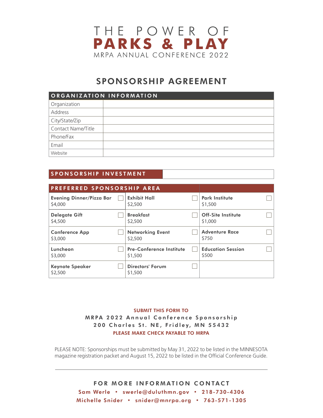

# SPONSORSHIP AGREEMENT

| ORGANIZATION INFORMATION |  |  |  |  |  |
|--------------------------|--|--|--|--|--|
| Organization             |  |  |  |  |  |
| Address                  |  |  |  |  |  |
| City/State/Zip           |  |  |  |  |  |
| Contact Name/Title       |  |  |  |  |  |
| Phone/Fax                |  |  |  |  |  |
| Email                    |  |  |  |  |  |
| Website                  |  |  |  |  |  |

# SPONSORSHIP INVESTMENT

| PREFERRED SPONSORSHIP AREA          |  |                                            |  |                                      |  |
|-------------------------------------|--|--------------------------------------------|--|--------------------------------------|--|
| Evening Dinner/Pizza Bar<br>\$4,000 |  | <b>Exhibit Hall</b><br>\$2,500             |  | <b>Park Institute</b><br>\$1,500     |  |
| <b>Delegate Gift</b><br>\$4,500     |  | <b>Breakfast</b><br>\$2,500                |  | <b>Off-Site Institute</b><br>\$1,000 |  |
| <b>Conference App</b><br>\$3,000    |  | <b>Networking Event</b><br>\$2,500         |  | <b>Adventure Race</b><br>\$750       |  |
| Luncheon<br>\$3,000                 |  | <b>Pre-Conference Institute</b><br>\$1,500 |  | <b>Education Session</b><br>\$500    |  |
| <b>Keynote Speaker</b><br>\$2,500   |  | Directors' Forum<br>\$1,500                |  |                                      |  |

# SUBMIT THIS FORM TO MRPA 2022 Annual Conference Sponsorship 200 Charles St. NE, Fridley, MN 55432 PLEASE MAKE CHECK PAYABLE TO MRPA

PLEASE NOTE: Sponsorships must be submitted by May 31, 2022 to be listed in the MINNESOTA magazine registration packet and August 15, 2022 to be listed in the Official Conference Guide.

FOR MORE INFORMATION CONTACT Sam Werle • swerle@duluthmn.gov • 218-730-4306 Michelle Snider • snider@mnrpa.org • 763-571-1305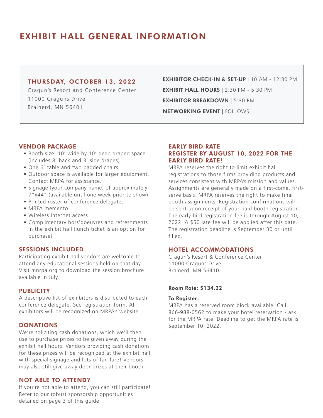# EXHIBIT HALL GENERAL INFORMATION

## THURSDAY, OCTOBER 13, 2022

Cragun's Resort and Conference Center 11000 Craguns Drive Brainerd, MN 56401

EXHIBIT HALL HOURS | 2:30 PM - 5:30 PM EXHIBITOR CHECK-IN & SET-UP | 10 AM - 12:30 PM EXHIBITOR BREAKDOWN | 5:30 PM NETWORKING EVENT | FOLLOWS

#### VENDOR PACKAGE

- Booth size: 10' wide by 10' deep draped space (includes 8' back and 3' side drapes)
- One 6' table and two padded chairs
- Outdoor space is available for larger equipment. Contact MRPA for assistance.
- Signage (your company name) of approximately 7"x44" (available until one week prior to show)
- Printed roster of conference delegates
- MRPA memento
- Wireless internet access
- Complimentary hors'doeuvres and refreshments in the exhibit hall (lunch ticket is an option for purchase)

#### SESSIONS INCLUDED

Participating exhibit hall vendors are welcome to attend any educational sessions held on that day. Visit mnrpa.org to download the session brochure available in July.

#### **PUBLICITY**

A descriptive list of exhibitors is distributed to each conference delegate. See registration form. All exhibitors will be recognized on MRPA's website.

## **DONATIONS**

We're soliciting cash donations, which we'll then use to purchase prizes to be given away during the exhibit hall hours. Vendors providing cash donations for these prizes will be recognized at the exhibit hall with special signage and lots of fan fare! Vendors may also still give away door prizes at their booth.

## NOT ABLE TO ATTEND?

If you're not able to attend, you can still participate! Refer to our robust sponsorship opportunities detailed on page 3 of this guide.

# EARLY BIRD RATE REGISTER BY AUGUST 10, 2022 FOR THE EARLY BIRD RATE!

MRPA reserves the right to limit exhibit hall registrations to those firms providing products and services consistent with MRPA's mission and values. Assignments are generally made on a first-come, firstserve basis. MRPA reserves the right to make final booth assignments. Registration confirmations will be sent upon receipt of your paid booth registration. The early bird registration fee is through August 10, 2022. A \$50 late fee will be applied after this date. The registration deadline is September 30 or until filled.

## HOTEL ACCOMMODATIONS

Cragun's Resort & Conference Center 11000 Craguns Drive Brainerd, MN 56410

#### Room Rate: \$134.22

#### To Register:

MRPA has a reserved room block available. Call 866-988-0562 to make your hotel reservation - ask for the MRPA rate. Deadline to get the MRPA rate is September 10, 2022.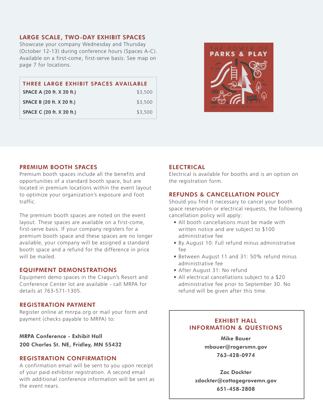## LARGE SCALE, TWO-DAY EXHIBIT SPACES

Showcase your company Wednesday and Thursday (October 12-13) during conference hours (Spaces A-C). Available on a first-come, first-serve basis. See map on page 7 for locations.

| THREE LARGE EXHIBIT SPACES AVAILABLE |         |
|--------------------------------------|---------|
| SPACE A (20 ft. X 20 ft.)            | \$3,500 |
| SPACE B (20 ft. X 20 ft.)            | \$3,500 |
| SPACE C (20 ft. X 20 ft.)            | \$3,500 |



#### PREMIUM BOOTH SPACES

Premium booth spaces include all the benefits and opportunities of a standard booth space, but are located in premium locations within the event layout to optimize your organization's exposure and foot traffic.

The premium booth spaces are noted on the event layout. These spaces are available on a first-come, first-serve basis. If your company registers for a premium booth space and these spaces are no longer available, your company will be assigned a standard booth space and a refund for the difference in price will be mailed.

#### EQUIPMENT DEMONSTRATIONS

Equipment demo spaces in the Cragun's Resort and Conference Center lot are available - call MRPA for details at 763-571-1305.

#### REGISTRATION PAYMENT

Register online at mnrpa.org or mail your form and payment (checks payable to MRPA) to:

MRPA Conference - Exhibit Hall

200 Charles St. NE, Fridley, MN 55432

#### REGISTRATION CONFIRMATION

A confirmation email will be sent to you upon receipt of your paid exhibitor registration. A second email with additional conference information will be sent as the event nears.

# **ELECTRICAL**

Electrical is available for booths and is an option on the registration form.

# REFUNDS & CANCELLATION POLICY

Should you find it necessary to cancel your booth space reservation or electrical requests, the following cancellation policy will apply:

- All booth cancellations must be made with written notice and are subject to \$100 administrative fee
- By August 10: Full refund minus administrative fee
- Between August 11 and 31: 50% refund minus administrative fee
- After August 31: No refund
- All electrical cancellations subject to a \$20 administrative fee prior to September 30. No refund will be given after this time.

## EXHIBIT HALL INFORMATION & QUESTIONS

Mike Bauer mbauer@rogersmn.gov 763-428-0974

Zac Dockter zdockter@cottagegrovemn.gov 651-458-2808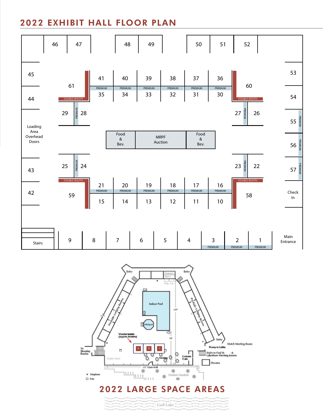# 2022 EXHIBIT HALL FLOOR PLAN





Gull Lake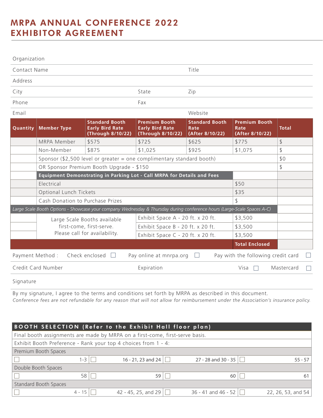# MRPA ANNUAL CONFERENCE 2022 EXHIBITOR AGREEMENT

| Organization                           |                    |                                                                                                                         |                                                                     |                                                  |                                                 |              |  |
|----------------------------------------|--------------------|-------------------------------------------------------------------------------------------------------------------------|---------------------------------------------------------------------|--------------------------------------------------|-------------------------------------------------|--------------|--|
| Contact Name                           |                    |                                                                                                                         |                                                                     | Title                                            |                                                 |              |  |
| Address                                |                    |                                                                                                                         |                                                                     |                                                  |                                                 |              |  |
| City                                   |                    |                                                                                                                         | State                                                               | Zip                                              |                                                 |              |  |
| Phone                                  |                    |                                                                                                                         | Fax                                                                 |                                                  |                                                 |              |  |
| Email                                  |                    |                                                                                                                         |                                                                     | Website                                          |                                                 |              |  |
| Quantity                               | <b>Member Type</b> | <b>Standard Booth</b><br><b>Early Bird Rate</b><br>(Through 8/10/22)                                                    | <b>Premium Booth</b><br><b>Early Bird Rate</b><br>(Through 8/10/22) | <b>Standard Booth</b><br>Rate<br>(After 8/10/22) | <b>Premium Booth</b><br>Rate<br>(After 8/10/22) | <b>Total</b> |  |
|                                        | MRPA Member        | \$575                                                                                                                   | \$725                                                               | \$625                                            | \$775                                           | \$           |  |
|                                        | Non-Member         | \$875                                                                                                                   | \$1,025                                                             | \$925                                            | \$1,075                                         | \$           |  |
|                                        |                    | Sponsor (\$2,500 level or greater = one complimentary standard booth)                                                   |                                                                     |                                                  |                                                 | \$0          |  |
|                                        |                    | OR Sponsor Premium Booth Upgrade - \$150                                                                                |                                                                     |                                                  |                                                 | \$           |  |
|                                        |                    | Equipment Demonstrating in Parking Lot - Call MRPA for Details and Fees                                                 |                                                                     |                                                  |                                                 |              |  |
|                                        | Electrical         |                                                                                                                         |                                                                     |                                                  | \$50                                            |              |  |
| Optional Lunch Tickets<br>\$35         |                    |                                                                                                                         |                                                                     |                                                  |                                                 |              |  |
| \$<br>Cash Donation to Purchase Prizes |                    |                                                                                                                         |                                                                     |                                                  |                                                 |              |  |
|                                        |                    | Large Scale Booth Options - Showcase your company Wednesday & Thursday during conference hours (Large-Scale Spaces A-C) |                                                                     |                                                  |                                                 |              |  |
|                                        |                    | Large Scale Booths available                                                                                            | Exhibit Space A - 20 ft. x 20 ft.                                   |                                                  | \$3,500                                         |              |  |
|                                        |                    | first-come, first-serve.                                                                                                | Exhibit Space B - 20 ft. x 20 ft.                                   |                                                  | \$3,500                                         |              |  |
|                                        |                    | Please call for availability.                                                                                           | Exhibit Space C - 20 ft. x 20 ft.                                   |                                                  | \$3,500                                         |              |  |
|                                        |                    |                                                                                                                         |                                                                     |                                                  | <b>Total Enclosed</b>                           |              |  |
| Payment Method :                       |                    | Check enclosed                                                                                                          | Pay online at mnrpa.org                                             |                                                  | Pay with the following credit card              |              |  |
| Credit Card Number                     |                    |                                                                                                                         | Expiration                                                          |                                                  | Visa                                            | Mastercard   |  |
|                                        |                    |                                                                                                                         |                                                                     |                                                  |                                                 |              |  |

Signature

By my signature, I agree to the terms and conditions set forth by MRPA as described in this document. *Conference fees are not refundable for any reason that will not allow for reimbursement under the Association's insurance policy.* 

| <b>BOOTH SELECTION (Refer to the Exhibit Hall floor plan)</b> |          |                                                                              |                         |                    |  |  |
|---------------------------------------------------------------|----------|------------------------------------------------------------------------------|-------------------------|--------------------|--|--|
|                                                               |          | Final booth assignments are made by MRPA on a first-come, first-serve basis. |                         |                    |  |  |
|                                                               |          | Exhibit Booth Preference - Rank your top 4 choices from 1 - 4:               |                         |                    |  |  |
| Premium Booth Spaces                                          |          |                                                                              |                         |                    |  |  |
|                                                               | 1-3      | 16 - 21, 23 and 24                                                           | 27 - 28 and 30 - 35     | $55 - 57$          |  |  |
| Double Booth Spaces                                           |          |                                                                              |                         |                    |  |  |
|                                                               | 58       | 59                                                                           | 60                      | 61                 |  |  |
| <b>Standard Booth Spaces</b>                                  |          |                                                                              |                         |                    |  |  |
|                                                               | $4 - 15$ | 42 - 45, 25, and 29                                                          | $36 - 41$ and $46 - 52$ | 22, 26, 53, and 54 |  |  |